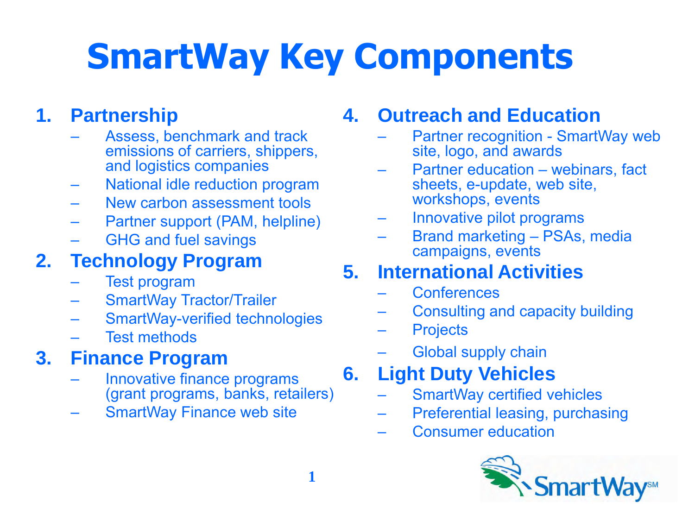# **SmartWay Key Components**

### **1. Partnership**

- Assess, benchmark and track emissions of carriers, shippers, and logistics companies
- National idle reduction program
- New carbon assessment tools
- Partner support (PAM, helpline)
- GHG and fuel savings

### **2. Technology Program**

- Test program
- SmartWay Tractor/Trailer
- SmartWay-verified technologies
- **Test methods**

### **3. Finance Program**

- Innovative finance programs (grant programs, banks, retailers)
- **SmartWay Finance web site**

#### **4. Outreach and Education**

- Partner recognition SmartWay web site, logo, and awards
- Partner education webinars, fact sheets, e-update, web site, workshops, events
- Innovative pilot programs
- Brand marketing PSAs, media campaigns, events

#### **5. International Activities**

- Conferences
- Consulting and capacity building
- **Projects**
- Global supply chain

### **6. Light Duty Vehicles**

- SmartWay certified vehicles
- Preferential leasing, purchasing
- Consumer education

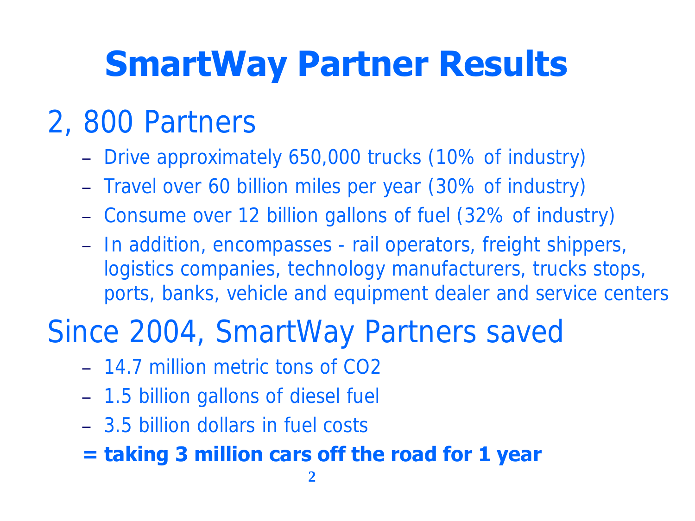## **SmartWay Partner Results**

### 2, 800 Partners

- Drive approximately 650,000 trucks (10% of industry)
- Travel over 60 billion miles per year (30% of industry)
- Consume over 12 billion gallons of fuel (32% of industry)
- In addition, encompasses rail operators, freight shippers, logistics companies, technology manufacturers, trucks stops, ports, banks, vehicle and equipment dealer and service centers

### Since 2004, SmartWay Partners saved

- 14.7 million metric tons of CO2
- 1.5 billion gallons of diesel fuel
- 3.5 billion dollars in fuel costs

### **= taking 3 million cars off the road for 1 year**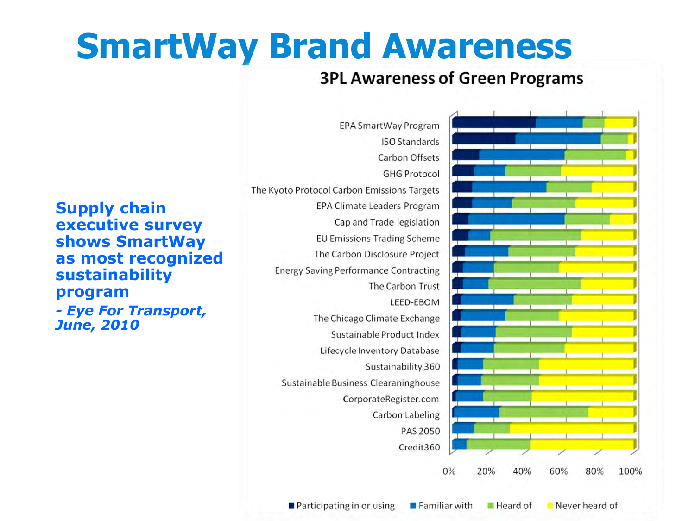## **SmartWay Brand Awareness**

#### **3PL Awareness of Green Programs**

**Supply chain executive survey shows SmartWay as most recognized sustainability program**  *- Eye For Transport, June, 2010*

EPA SmartWay Program **ISO Standards** Carbon Offsets **GHG Protocol** The Kyoto Protocol Carbon Emissions Targets **EPA Climate Leaders Program** Cap and Trade legislation **EU Emissions Trading Scheme** The Carbon Disclosure Project **Energy Saving Performance Contracting** The Carbon Trust LEED-EBOM The Chicago Climate Exchange Sustainable Product Index Lifecycle Inventory Database Sustainability 360 Sustainable Business Clearaninghouse CorporateRegister.com Carbon Labeling **PAS 2050** Credit360  $0\%$